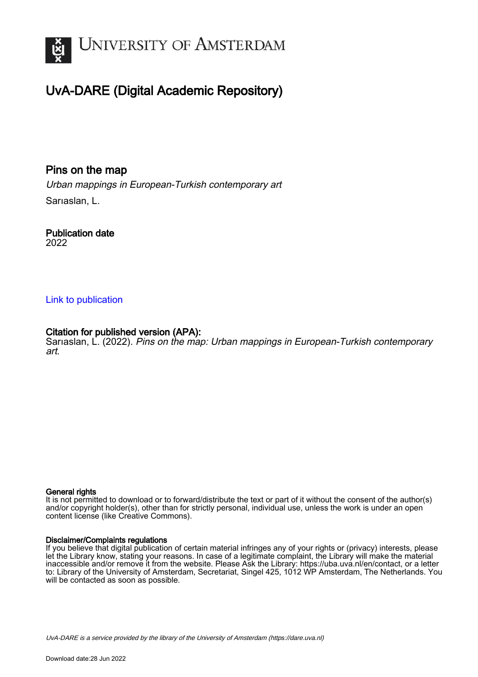

## UvA-DARE (Digital Academic Repository)

Pins on the map

Urban mappings in European-Turkish contemporary art Sarıaslan, L.

Publication date 2022

### [Link to publication](https://dare.uva.nl/personal/pure/en/publications/pins-on-the-map(a6b4a7aa-aca4-4f8c-8053-5f1857079ad9).html)

### Citation for published version (APA):

Sariaslan, L. (2022). Pins on the map: Urban mappings in European-Turkish contemporary art.

#### General rights

It is not permitted to download or to forward/distribute the text or part of it without the consent of the author(s) and/or copyright holder(s), other than for strictly personal, individual use, unless the work is under an open content license (like Creative Commons).

#### Disclaimer/Complaints regulations

If you believe that digital publication of certain material infringes any of your rights or (privacy) interests, please let the Library know, stating your reasons. In case of a legitimate complaint, the Library will make the material inaccessible and/or remove it from the website. Please Ask the Library: https://uba.uva.nl/en/contact, or a letter to: Library of the University of Amsterdam, Secretariat, Singel 425, 1012 WP Amsterdam, The Netherlands. You will be contacted as soon as possible.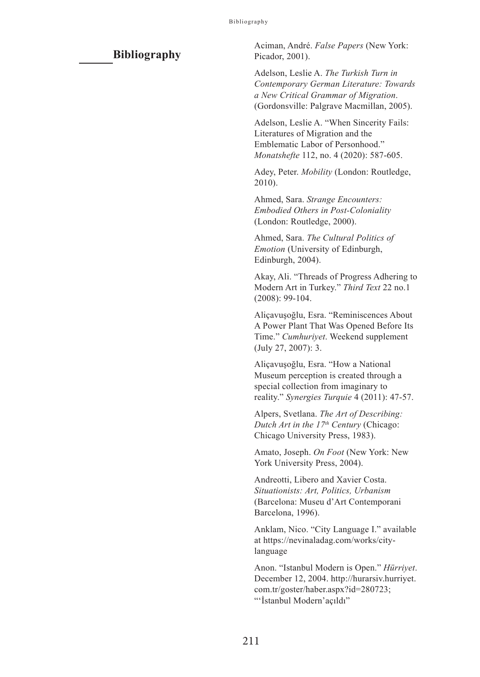#### **Bibliography**

Aciman, André. *False Papers* (New York: Picador, 2001).

Adelson, Leslie A. *The Turkish Turn in Contemporary German Literature: Towards a New Critical Grammar of Migration*. (Gordonsville: Palgrave Macmillan, 2005).

Adelson, Leslie A. "When Sincerity Fails: Literatures of Migration and the Emblematic Labor of Personhood." *Monatshefte* 112, no. 4 (2020): 587-605.

Adey, Peter. *Mobility* (London: Routledge, 2010).

Ahmed, Sara. *Strange Encounters: Embodied Others in Post-Coloniality* (London: Routledge, 2000).

Ahmed, Sara. *The Cultural Politics of Emotion* (University of Edinburgh, Edinburgh, 2004).

Akay, Ali. "Threads of Progress Adhering to Modern Art in Turkey." *Third Text* 22 no.1 (2008): 99-104.

Aliçavuşoğlu, Esra. "Reminiscences About A Power Plant That Was Opened Before Its Time." *Cumhuriyet*. Weekend supplement (July 27, 2007): 3.

Aliçavuşoğlu, Esra. "How a National Museum perception is created through a special collection from imaginary to reality." *Synergies Turquie* 4 (2011): 47-57.

Alpers, Svetlana. *The Art of Describing: Dutch Art in the 17th Century* (Chicago: Chicago University Press, 1983).

Amato, Joseph. *On Foot* (New York: New York University Press, 2004).

Andreotti, Libero and Xavier Costa. *Situationists: Art, Politics, Urbanism*  (Barcelona: Museu d'Art Contemporani Barcelona, 1996).

Anklam, Nico. "City Language I." available at https://nevinaladag.com/works/citylanguage

Anon. "Istanbul Modern is Open." *Hürriyet*. December 12, 2004. http://hurarsiv.hurriyet. com.tr/goster/haber.aspx?id=280723; "'İstanbul Modern'açıldı"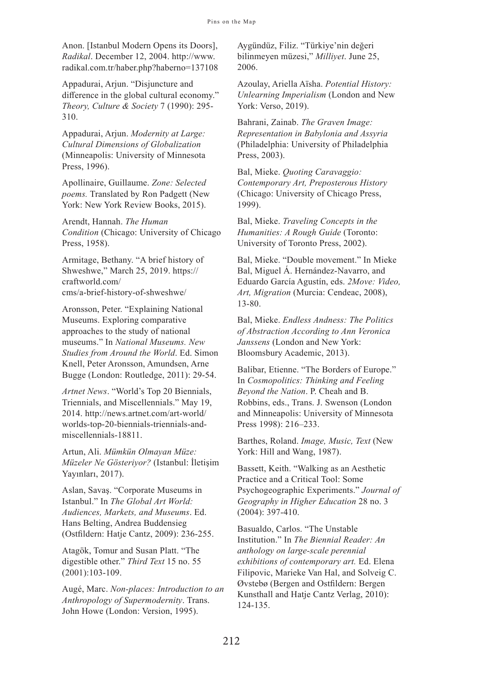Anon. [Istanbul Modern Opens its Doors], *Radikal*. December 12, 2004. http://www. radikal.com.tr/haber.php?haberno=137108

Appadurai, Arjun. "Disjuncture and difference in the global cultural economy." *Theory, Culture & Society* 7 (1990): 295- 310.

Appadurai, Arjun. *Modernity at Large: Cultural Dimensions of Globalization* (Minneapolis: University of Minnesota Press, 1996).

Apollinaire, Guillaume. *Zone: Selected poems.* Translated by Ron Padgett (New York: New York Review Books, 2015).

Arendt, Hannah. *The Human Condition* (Chicago: University of Chicago Press, 1958).

Armitage, Bethany. "A brief history of Shweshwe," March 25, 2019. https:// craftworld.com/ cms/a-brief-history-of-shweshwe/

Aronsson, Peter. "Explaining National Museums. Exploring comparative approaches to the study of national museums." In *National Museums. New Studies from Around the World*. Ed. Simon Knell, Peter Aronsson, Amundsen, Arne Bugge (London: Routledge, 2011): 29-54.

*Artnet News*. "World's Top 20 Biennials, Triennials, and Miscellennials." May 19, 2014. http://news.artnet.com/art-world/ worlds-top-20-biennials-triennials-andmiscellennials-18811.

Artun, Ali. *Mümkün Olmayan Müze: Müzeler Ne Gösteriyor?* (Istanbul: İletişim Yayınları, 2017).

Aslan, Savaş. "Corporate Museums in Istanbul." In *The Global Art World: Audiences, Markets, and Museums*. Ed. Hans Belting, Andrea Buddensieg (Ostfildern: Hatje Cantz, 2009): 236-255.

Atagök, Tomur and Susan Platt. "The digestible other." *Third Text* 15 no. 55 (2001):103-109.

Augé, Marc. *Non-places: Introduction to an Anthropology of Supermodernity*. Trans. John Howe (London: Version, 1995).

Aygündüz, Filiz. "Türkiye'nin değeri bilinmeyen müzesi," *Milliyet*. June 25, 2006.

Azoulay, Ariella Aïsha. *Potential History: Unlearning Imperialism* (London and New York: Verso, 2019).

Bahrani, Zainab. *The Graven Image: Representation in Babylonia and Assyria* (Philadelphia: University of Philadelphia Press, 2003).

Bal, Mieke. *Quoting Caravaggio: Contemporary Art, Preposterous History* (Chicago: University of Chicago Press, 1999).

Bal, Mieke. *Traveling Concepts in the Humanities: A Rough Guide* (Toronto: University of Toronto Press, 2002).

Bal, Mieke. "Double movement." In Mieke Bal, Miguel Á. Hernández-Navarro, and Eduardo García Agustín, eds. *2Move: Video, Art, Migration* (Murcia: Cendeac, 2008), 13-80.

Bal, Mieke. *Endless Andness: The Politics of Abstraction According to Ann Veronica Janssens* (London and New York: Bloomsbury Academic, 2013).

Balibar, Etienne. "The Borders of Europe." In *Cosmopolitics: Thinking and Feeling Beyond the Nation*. P. Cheah and B. Robbins, eds., Trans. J. Swenson (London and Minneapolis: University of Minnesota Press 1998): 216–233.

Barthes, Roland. *Image, Music, Text* (New York: Hill and Wang, 1987).

Bassett, Keith. "Walking as an Aesthetic Practice and a Critical Tool: Some Psychogeographic Experiments." *Journal of Geography in Higher Education* 28 no. 3 (2004): 397-410.

Basualdo, Carlos. "The Unstable Institution." In *The Biennial Reader: An anthology on large-scale perennial exhibitions of contemporary art.* Ed. Elena Filipovic, Marieke Van Hal, and Solveig C. Øvstebø (Bergen and Ostfildern: Bergen Kunsthall and Hatje Cantz Verlag, 2010): 124-135.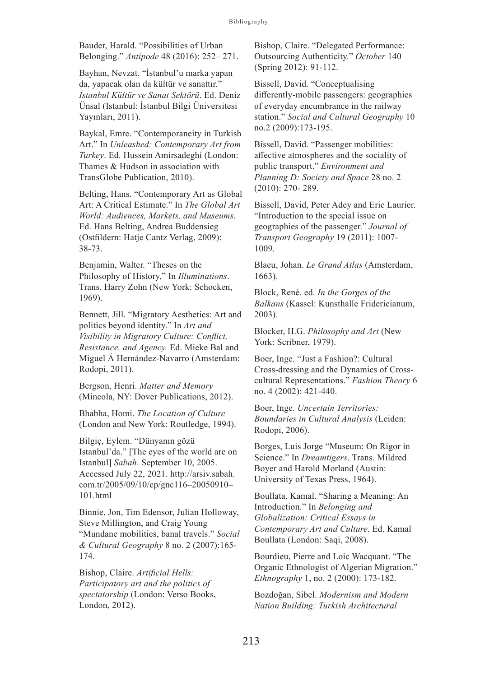Bauder, Harald. "Possibilities of Urban Belonging." *Antipode* 48 (2016): 252– 271.

Bayhan, Nevzat. "İstanbul'u marka yapan da, yapacak olan da kültür ve sanattır." *İstanbul Kültür ve Sanat Sektörü*. Ed. Deniz Ünsal (Istanbul: İstanbul Bilgi Üniversitesi Yayınları, 2011).

Baykal, Emre. "Contemporaneity in Turkish Art." In *Unleashed: Contemporary Art from Turkey*. Ed. Hussein Amirsadeghi (London: Thames & Hudson in association with TransGlobe Publication, 2010).

Belting, Hans. "Contemporary Art as Global Art: A Critical Estimate." In *The Global Art World: Audiences, Markets, and Museums*. Ed. Hans Belting, Andrea Buddensieg (Ostfildern: Hatje Cantz Verlag, 2009): 38-73.

Benjamin, Walter. "Theses on the Philosophy of History," In *Illuminations*. Trans. Harry Zohn (New York: Schocken, 1969).

Bennett, Jill. "Migratory Aesthetics: Art and politics beyond identity." In *Art and Visibility in Migratory Culture: Conflict, Resistance, and Agency.* Ed. Mieke Bal and Miguel Á Hernández-Navarro (Amsterdam: Rodopi, 2011).

Bergson, Henri. *Matter and Memory* (Mineola, NY: Dover Publications, 2012).

Bhabha, Homi. *The Location of Culture* (London and New York: Routledge, 1994).

Bilgiç, Eylem. "Dünyanın gözü Istanbul'da." [The eyes of the world are on Istanbul] *Sabah*. September 10, 2005. Accessed July 22, 2021. http://arsiv.sabah. com.tr/2005/09/10/cp/gnc116–20050910– 101.html

Binnie, Jon, Tim Edensor, Julian Holloway, Steve Millington, and Craig Young "Mundane mobilities, banal travels." *Social & Cultural Geography* 8 no. 2 (2007):165- 174.

Bishop, Claire. *Artificial Hells: Participatory art and the politics of spectatorship* (London: Verso Books, London, 2012).

Bishop, Claire. "Delegated Performance: Outsourcing Authenticity." *October* 140 (Spring 2012): 91-112.

Bissell, David. "Conceptualising differently-mobile passengers: geographies of everyday encumbrance in the railway station." *Social and Cultural Geography* 10 no.2 (2009):173-195.

Bissell, David. "Passenger mobilities: affective atmospheres and the sociality of public transport." *Environment and Planning D: Society and Space* 28 no. 2 (2010): 270- 289.

Bissell, David, Peter Adey and Eric Laurier. "Introduction to the special issue on geographies of the passenger." *Journal of Transport Geography* 19 (2011): 1007- 1009.

Blaeu, Johan. *Le Grand Atlas* (Amsterdam, 1663).

Block, René. ed. *In the Gorges of the Balkans* (Kassel: Kunsthalle Fridericianum, 2003).

Blocker, H.G. *Philosophy and Art* (New York: Scribner, 1979).

Boer, Inge. "Just a Fashion?: Cultural Cross-dressing and the Dynamics of Crosscultural Representations." *Fashion Theory* 6 no. 4 (2002): 421-440.

Boer, Inge. *Uncertain Territories: Boundaries in Cultural Analysis* (Leiden: Rodopi, 2006).

Borges, Luis Jorge "Museum: On Rigor in Science." In *Dreamtigers*. Trans. Mildred Boyer and Harold Morland (Austin: University of Texas Press, 1964).

Boullata, Kamal. "Sharing a Meaning: An Introduction." In *Belonging and Globalization: Critical Essays in Contemporary Art and Culture*. Ed. Kamal Boullata (London: Saqi, 2008).

Bourdieu, Pierre and Loic Wacquant. "The Organic Ethnologist of Algerian Migration." *Ethnography* 1, no. 2 (2000): 173-182.

Bozdoğan, Sibel. *Modernism and Modern Nation Building: Turkish Architectural*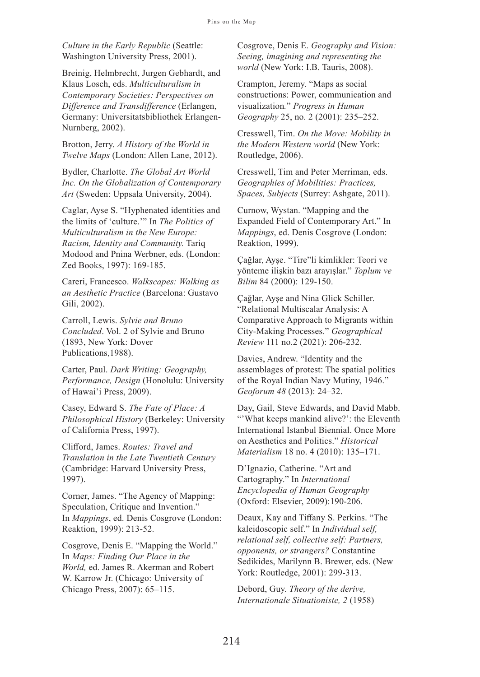*Culture in the Early Republic* (Seattle: Washington University Press, 2001).

Breinig, Helmbrecht, Jurgen Gebhardt, and Klaus Losch, eds. *Multiculturalism in Contemporary Societies: Perspectives on Difference and Transdifference* (Erlangen, Germany: Universitatsbibliothek Erlangen-Nurnberg, 2002).

Brotton, Jerry. *A History of the World in Twelve Maps* (London: Allen Lane, 2012).

Bydler, Charlotte. *The Global Art World Inc. On the Globalization of Contemporary Art* (Sweden: Uppsala University, 2004).

Caglar, Ayse S. "Hyphenated identities and the limits of 'culture.'" In *The Politics of Multiculturalism in the New Europe: Racism, Identity and Community.* Tariq Modood and Pnina Werbner, eds. (London: Zed Books, 1997): 169-185.

Careri, Francesco. *Walkscapes: Walking as an Aesthetic Practice* (Barcelona: Gustavo Gili, 2002).

Carroll, Lewis. *Sylvie and Bruno Concluded*. Vol. 2 of Sylvie and Bruno (1893, New York: Dover Publications,1988).

Carter, Paul. *Dark Writing: Geography, Performance, Design* (Honolulu: University of Hawai'i Press, 2009).

Casey, Edward S. *The Fate of Place: A Philosophical History* (Berkeley: University of California Press, 1997).

Clifford, James. *Routes: Travel and Translation in the Late Twentieth Century* (Cambridge: Harvard University Press, 1997).

Corner, James. "The Agency of Mapping: Speculation, Critique and Invention." In *Mappings*, ed. Denis Cosgrove (London: Reaktion, 1999): 213-52.

Cosgrove, Denis E. "Mapping the World." In *Maps: Finding Our Place in the World,* ed. James R. Akerman and Robert W. Karrow Jr. (Chicago: University of Chicago Press, 2007): 65–115.

Cosgrove, Denis E. *Geography and Vision: Seeing, imagining and representing the world* (New York: I.B. Tauris, 2008).

Crampton, Jeremy. "Maps as social constructions: Power, communication and visualization*.*" *Progress in Human Geography* 25, no. 2 (2001): 235–252.

Cresswell, Tim. *On the Move: Mobility in the Modern Western world* (New York: Routledge, 2006).

Cresswell, Tim and Peter Merriman, eds. *Geographies of Mobilities: Practices, Spaces, Subjects* (Surrey: Ashgate, 2011).

Curnow, Wystan. "Mapping and the Expanded Field of Contemporary Art." In *Mappings*, ed. Denis Cosgrove (London: Reaktion, 1999).

Çağlar, Ayşe. "Tire"li kimlikler: Teori ve yönteme ilişkin bazı arayışlar." *Toplum ve Bilim* 84 (2000): 129-150.

Çağlar, Ayşe and Nina Glick Schiller. "Relational Multiscalar Analysis: A Comparative Approach to Migrants within City-Making Processes." *Geographical Review* 111 no.2 (2021): 206-232.

Davies, Andrew. "Identity and the assemblages of protest: The spatial politics of the Royal Indian Navy Mutiny, 1946." *Geoforum 48* (2013): 24–32.

Day, Gail, Steve Edwards, and David Mabb. "'What keeps mankind alive?': the Eleventh International Istanbul Biennial. Once More on Aesthetics and Politics." *Historical Materialism* 18 no. 4 (2010): 135–171.

D'Ignazio, Catherine. "Art and Cartography." In *International Encyclopedia of Human Geography* (Oxford: Elsevier, 2009):190-206.

Deaux, Kay and Tiffany S. Perkins. "The kaleidoscopic self." In *Individual self, relational self, collective self: Partners, opponents, or strangers?* Constantine Sedikides, Marilynn B. Brewer, eds. (New York: Routledge, 2001): 299-313.

Debord, Guy. *Theory of the derive, Internationale Situationiste, 2* (1958)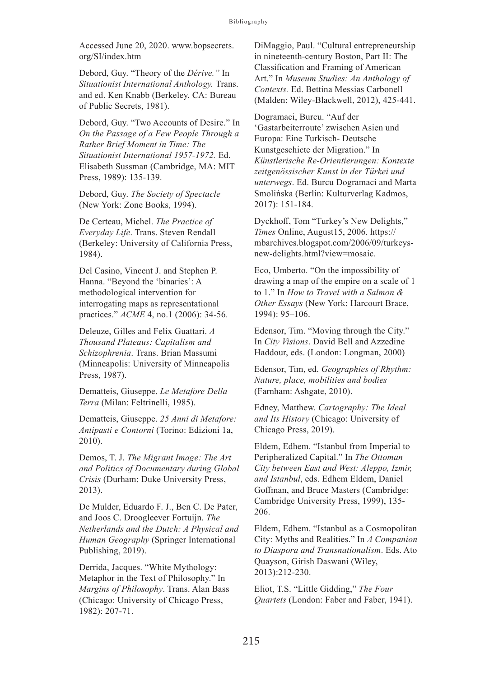Accessed June 20, 2020. www.bopsecrets. org/SI/index.htm

Debord, Guy. "Theory of the *Dérive."* In *Situationist International Anthology.* Trans. and ed. Ken Knabb (Berkeley, CA: Bureau of Public Secrets, 1981).

Debord, Guy. "Two Accounts of Desire." In *On the Passage of a Few People Through a Rather Brief Moment in Time: The Situationist International 1957-1972.* Ed. Elisabeth Sussman (Cambridge, MA: MIT Press, 1989): 135-139.

Debord, Guy. *The Society of Spectacle* (New York: Zone Books, 1994).

De Certeau, Michel. *The Practice of Everyday Life*. Trans. Steven Rendall (Berkeley: University of California Press, 1984).

Del Casino, Vincent J. and Stephen P. Hanna. "Beyond the 'binaries': A methodological intervention for interrogating maps as representational practices." *ACME* 4, no.1 (2006): 34-56.

Deleuze, Gilles and Felix Guattari. *A Thousand Plateaus: Capitalism and Schizophrenia*. Trans. Brian Massumi (Minneapolis: University of Minneapolis Press, 1987).

Dematteis, Giuseppe. *Le Metafore Della Terra* (Milan: Feltrinelli, 1985).

Dematteis, Giuseppe. *25 Anni di Metafore: Antipasti e Contorni* (Torino: Edizioni 1a, 2010).

Demos, T. J. *The Migrant Image: The Art and Politics of Documentary during Global Crisis* (Durham: Duke University Press, 2013).

De Mulder, Eduardo F. J., Ben C. De Pater, and Joos C. Droogleever Fortuijn. *The Netherlands and the Dutch: A Physical and Human Geography* (Springer International Publishing, 2019).

Derrida, Jacques. "White Mythology: Metaphor in the Text of Philosophy." In *Margins of Philosophy*. Trans. Alan Bass (Chicago: University of Chicago Press, 1982): 207-71.

DiMaggio, Paul. "Cultural entrepreneurship in nineteenth-century Boston, Part II: The Classification and Framing of American Art." In *Museum Studies: An Anthology of Contexts.* Ed. Bettina Messias Carbonell (Malden: Wiley-Blackwell, 2012), 425-441.

Dogramaci, Burcu. "Auf der 'Gastarbeiterroute' zwischen Asien und Europa: Eine Turkisch- Deutsche Kunstgeschicte der Migration." In *Künstlerische Re-Orientierungen: Kontexte zeitgenössischer Kunst in der Türkei und unterwegs*. Ed. Burcu Dogramaci and Marta Smolińska (Berlin: Kulturverlag Kadmos, 2017): 151-184.

Dyckhoff, Tom "Turkey's New Delights," *Times* Online, August15, 2006. https:// mbarchives.blogspot.com/2006/09/turkeysnew-delights.html?view=mosaic.

Eco, Umberto. "On the impossibility of drawing a map of the empire on a scale of 1 to 1." In *How to Travel with a Salmon & Other Essays* (New York: Harcourt Brace, 1994): 95–106.

Edensor, Tim. "Moving through the City." In *City Visions*. David Bell and Azzedine Haddour, eds. (London: Longman, 2000)

Edensor, Tim, ed. *Geographies of Rhythm: Nature, place, mobilities and bodies* (Farnham: Ashgate, 2010).

Edney, Matthew. *Cartography: The Ideal and Its History* (Chicago: University of Chicago Press, 2019).

Eldem, Edhem. "Istanbul from Imperial to Peripheralized Capital." In *The Ottoman City between East and West: Aleppo, Izmir, and Istanbul*, eds. Edhem Eldem, Daniel Goffman, and Bruce Masters (Cambridge: Cambridge University Press, 1999), 135- 206.

Eldem, Edhem. "Istanbul as a Cosmopolitan City: Myths and Realities." In *A Companion to Diaspora and Transnationalism*. Eds. Ato Quayson, Girish Daswani (Wiley, 2013):212-230.

Eliot, T.S. "Little Gidding," *The Four Quartets* (London: Faber and Faber, 1941).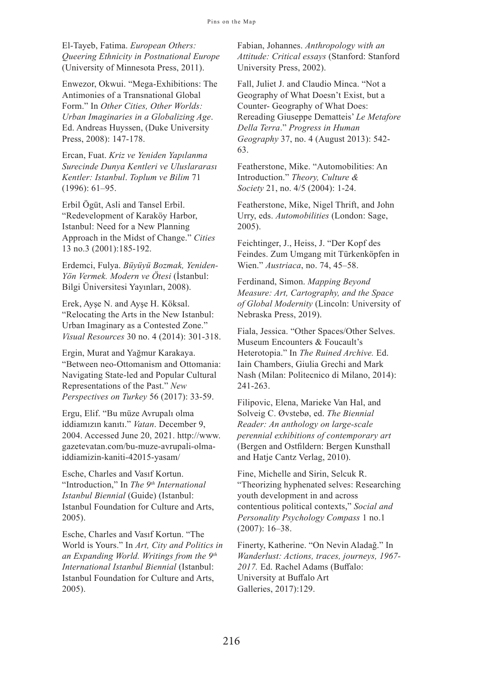El-Tayeb, Fatima. *European Others: Queering Ethnicity in Postnational Europe* (University of Minnesota Press, 2011).

Enwezor, Okwui. "Mega-Exhibitions: The Antimonies of a Transnational Global Form." In *Other Cities, Other Worlds: Urban Imaginaries in a Globalizing Age*. Ed. Andreas Huyssen, (Duke University Press, 2008): 147-178.

Ercan, Fuat. *Kriz ve Yeniden Yapılanma Surecinde Dunya Kentleri ve Uluslararası Kentler: Istanbul*. *Toplum ve Bilim* 71 (1996): 61–95.

Erbil Ögüt, Asli and Tansel Erbil. "Redevelopment of Karaköy Harbor, Istanbul: Need for a New Planning Approach in the Midst of Change." *Cities*  13 no.3 (2001):185-192.

Erdemci, Fulya. *Büyüyü Bozmak, Yeniden-Yön Vermek. Modern ve Ötesi* (İstanbul: Bilgi Üniversitesi Yayınları, 2008).

Erek, Ayşe N. and Ayşe H. Köksal. "Relocating the Arts in the New Istanbul: Urban Imaginary as a Contested Zone." *Visual Resources* 30 no. 4 (2014): 301-318.

Ergin, Murat and Yağmur Karakaya. "Between neo-Ottomanism and Ottomania: Navigating State-led and Popular Cultural Representations of the Past." *New Perspectives on Turkey* 56 (2017): 33-59.

Ergu, Elif. "Bu müze Avrupalı olma iddiamızın kanıtı." *Vatan*. December 9, 2004. Accessed June 20, 2021. http://www. gazetevatan.com/bu-muze-avrupali-olmaiddiamizin-kaniti-42015-yasam/

Esche, Charles and Vasıf Kortun. "Introduction," In *The 9th International Istanbul Biennial* (Guide) (Istanbul: Istanbul Foundation for Culture and Arts, 2005).

Esche, Charles and Vasıf Kortun. "The World is Yours." In *Art, City and Politics in an Expanding World. Writings from the 9th International Istanbul Biennial* (Istanbul: Istanbul Foundation for Culture and Arts, 2005).

Fabian, Johannes. *Anthropology with an Attitude: Critical essays* (Stanford: Stanford University Press, 2002).

Fall, Juliet J. and Claudio Minca. "Not a Geography of What Doesn't Exist, but a Counter- Geography of What Does: Rereading Giuseppe Dematteis' *Le Metafore Della Terra*." *Progress in Human Geography* 37, no. 4 (August 2013): 542- 63.

Featherstone, Mike. "Automobilities: An Introduction." *Theory, Culture & Society* 21, no. 4/5 (2004): 1-24.

Featherstone, Mike, Nigel Thrift, and John Urry, eds. *Automobilities* (London: Sage, 2005).

Feichtinger, J., Heiss, J. "Der Kopf des Feindes. Zum Umgang mit Türkenköpfen in Wien." *Austriaca*, no. 74, 45–58.

Ferdinand, Simon. *Mapping Beyond Measure: Art, Cartography, and the Space of Global Modernity* (Lincoln: University of Nebraska Press, 2019).

Fiala, Jessica. "Other Spaces/Other Selves. Museum Encounters & Foucault's Heterotopia." In *The Ruined Archive.* Ed. Iain Chambers, Giulia Grechi and Mark Nash (Milan: Politecnico di Milano, 2014): 241-263.

Filipovic, Elena, Marieke Van Hal, and Solveig C. Øvstebø, ed. *The Biennial Reader: An anthology on large-scale perennial exhibitions of contemporary art* (Bergen and Ostfildern: Bergen Kunsthall and Hatje Cantz Verlag, 2010).

Fine, Michelle and Sirin, Selcuk R. "Theorizing hyphenated selves: Researching youth development in and across contentious political contexts," *Social and Personality Psychology Compass* 1 no.1 (2007): 16–38.

Finerty, Katherine. "On Nevin Aladağ." In *Wanderlust: Actions, traces, journeys, 1967- 2017.* Ed. Rachel Adams (Buffalo: University at Buffalo Art Galleries, 2017):129.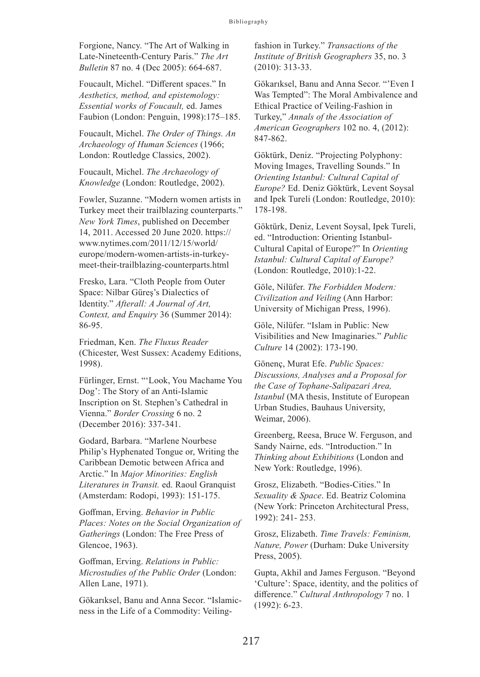Forgione, Nancy. "The Art of Walking in Late-Nineteenth-Century Paris." *The Art Bulletin* 87 no. 4 (Dec 2005): 664-687.

Foucault, Michel. "Different spaces." In *Aesthetics, method, and epistemology: Essential works of Foucault,* ed. James Faubion (London: Penguin, 1998):175–185.

Foucault, Michel. *The Order of Things. An Archaeology of Human Sciences* (1966; London: Routledge Classics, 2002).

Foucault, Michel. *The Archaeology of Knowledge* (London: Routledge, 2002).

Fowler, Suzanne. "Modern women artists in Turkey meet their trailblazing counterparts." *New York Times*, published on December 14, 2011. Accessed 20 June 2020. https:// www.nytimes.com/2011/12/15/world/ europe/modern-women-artists-in-turkeymeet-their-trailblazing-counterparts.html

Fresko, Lara. "Cloth People from Outer Space: Nilbar Güreş's Dialectics of Identity." *Afterall: A Journal of Art, Context, and Enquiry* 36 (Summer 2014): 86-95.

Friedman, Ken. *The Fluxus Reader* (Chicester, West Sussex: Academy Editions, 1998).

Fürlinger, Ernst. "'Look, You Machame You Dog': The Story of an Anti-Islamic Inscription on St. Stephen's Cathedral in Vienna." *Border Crossing* 6 no. 2 (December 2016): 337-341.

Godard, Barbara. "Marlene Nourbese Philip's Hyphenated Tongue or, Writing the Caribbean Demotic between Africa and Arctic." In *Major Minorities: English Literatures in Transit.* ed. Raoul Granquist (Amsterdam: Rodopi, 1993): 151-175.

Goffman, Erving. *Behavior in Public Places: Notes on the Social Organization of Gatherings* (London: The Free Press of Glencoe, 1963).

Goffman, Erving. *Relations in Public: Microstudies of the Public Order* (London: Allen Lane, 1971).

Gökarıksel, Banu and Anna Secor. "Islamicness in the Life of a Commodity: Veilingfashion in Turkey." *Transactions of the Institute of British Geographers* 35, no. 3 (2010): 313-33.

Gökarıksel, Banu and Anna Secor. "'Even I Was Tempted": The Moral Ambivalence and Ethical Practice of Veiling-Fashion in Turkey," *Annals of the Association of American Geographers* 102 no. 4, (2012): 847-862.

Göktürk, Deniz. "Projecting Polyphony: Moving Images, Travelling Sounds." In *Orienting Istanbul: Cultural Capital of Europe?* Ed. Deniz Göktürk, Levent Soysal and Ipek Tureli (London: Routledge, 2010): 178-198.

Göktürk, Deniz, Levent Soysal, Ipek Tureli, ed. "Introduction: Orienting Istanbul-Cultural Capital of Europe?" In *Orienting Istanbul: Cultural Capital of Europe?* (London: Routledge, 2010):1-22.

Göle, Nilüfer. *The Forbidden Modern: Civilization and Veiling* (Ann Harbor: University of Michigan Press, 1996).

Göle, Nilüfer. "Islam in Public: New Visibilities and New Imaginaries." *Public Culture* 14 (2002): 173-190.

Gönenç, Murat Efe. *Public Spaces: Discussions, Analyses and a Proposal for the Case of Tophane-Salipazari Area, Istanbul* (MA thesis, Institute of European Urban Studies, Bauhaus University, Weimar, 2006).

Greenberg, Reesa, Bruce W. Ferguson, and Sandy Nairne, eds. "Introduction." In *Thinking about Exhibitions* (London and New York: Routledge, 1996).

Grosz, Elizabeth. "Bodies-Cities." In *Sexuality & Space*. Ed. Beatriz Colomina (New York: Princeton Architectural Press, 1992): 241- 253.

Grosz, Elizabeth. *Time Travels: Feminism, Nature, Power* (Durham: Duke University Press, 2005).

Gupta, Akhil and James Ferguson. "Beyond 'Culture': Space, identity, and the politics of difference." *Cultural Anthropology* 7 no. 1 (1992): 6-23.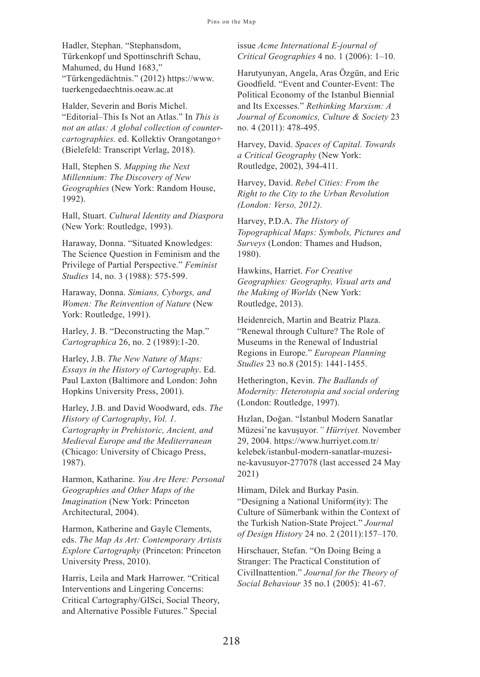Hadler, Stephan. "Stephansdom, Türkenkopf und Spottinschrift Schau, Mahumed, du Hund 1683," "Türkengedächtnis." (2012) https://www. tuerkengedaechtnis.oeaw.ac.at

Halder, Severin and Boris Michel. "Editorial–This Is Not an Atlas." In *This is not an atlas: A global collection of countercartographies.* ed. Kollektiv Orangotango+ (Bielefeld: Transcript Verlag, 2018).

Hall, Stephen S. *Mapping the Next Millennium: The Discovery of New Geographies* (New York: Random House, 1992).

Hall, Stuart. *Cultural Identity and Diaspora* (New York: Routledge, 1993).

Haraway, Donna. "Situated Knowledges: The Science Question in Feminism and the Privilege of Partial Perspective." *Feminist Studies* 14, no. 3 (1988): 575-599.

Haraway, Donna. *Simians, Cyborgs, and Women: The Reinvention of Nature* (New York: Routledge, 1991).

Harley, J. B. "Deconstructing the Map." *Cartographica* 26, no. 2 (1989):1-20.

Harley, J.B. *The New Nature of Maps: Essays in the History of Cartography*. Ed. Paul Laxton (Baltimore and London: John Hopkins University Press, 2001).

Harley, J.B. and David Woodward, eds. *The History of Cartography*, *Vol. 1. Cartography in Prehistoric, Ancient, and Medieval Europe and the Mediterranean*  (Chicago: University of Chicago Press, 1987).

Harmon, Katharine. *You Are Here: Personal Geographies and Other Maps of the Imagination* (New York: Princeton Architectural, 2004).

Harmon, Katherine and Gayle Clements, eds. *The Map As Art: Contemporary Artists Explore Cartography* (Princeton: Princeton University Press, 2010).

Harris, Leila and Mark Harrower. "Critical Interventions and Lingering Concerns: Critical Cartography/GISci, Social Theory, and Alternative Possible Futures." Special

issue *Acme International E-journal of Critical Geographies* 4 no. 1 (2006): 1–10.

Harutyunyan, Angela, Aras Özgün, and Eric Goodfield. "Event and Counter-Event: The Political Economy of the Istanbul Biennial and Its Excesses." *Rethinking Marxism: A Journal of Economics, Culture & Society* 23 no. 4 (2011): 478-495.

Harvey, David. *Spaces of Capital. Towards a Critical Geography* (New York: Routledge, 2002), 394-411.

Harvey, David. *Rebel Cities: From the Right to the City to the Urban Revolution (London: Verso, 2012).* 

Harvey, P.D.A. *The History of Topographical Maps: Symbols, Pictures and Surveys* (London: Thames and Hudson, 1980).

Hawkins, Harriet. *For Creative Geographies: Geography, Visual arts and the Making of Worlds* (New York: Routledge, 2013).

Heidenreich, Martin and Beatriz Plaza. "Renewal through Culture? The Role of Museums in the Renewal of Industrial Regions in Europe." *European Planning Studies* 23 no.8 (2015): 1441-1455.

Hetherington, Kevin. *The Badlands of Modernity: Heterotopia and social ordering* (London: Routledge, 1997).

Hızlan, Doğan. "İstanbul Modern Sanatlar Müzesi'ne kavuşuyor*." Hürriyet.* November 29, 2004. https://www.hurriyet.com.tr/ kelebek/istanbul-modern-sanatlar-muzesine-kavusuyor-277078 (last accessed 24 May 2021)

Himam, Dilek and Burkay Pasin. "Designing a National Uniform(ity): The Culture of Sümerbank within the Context of the Turkish Nation-State Project." *Journal of Design History* 24 no. 2 (2011):157–170.

Hirschauer, Stefan. "On Doing Being a Stranger: The Practical Constitution of CivilInattention." *Journal for the Theory of Social Behaviour* 35 no.1 (2005): 41-67.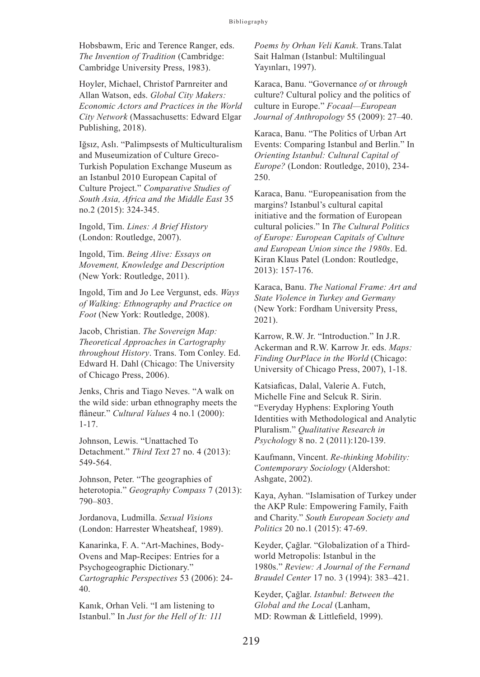Hobsbawm, Eric and Terence Ranger, eds. *The Invention of Tradition* (Cambridge: Cambridge University Press, 1983).

Hoyler, Michael, Christof Parnreiter and Allan Watson, eds. *Global City Makers: Economic Actors and Practices in the World City Network* (Massachusetts: Edward Elgar Publishing, 2018).

Iğsız, Aslı. "Palimpsests of Multiculturalism and Museumization of Culture Greco-Turkish Population Exchange Museum as an Istanbul 2010 European Capital of Culture Project." *Comparative Studies of South Asia, Africa and the Middle East* 35 no.2 (2015): 324-345.

Ingold, Tim. *Lines: A Brief History* (London: Routledge, 2007).

Ingold, Tim. *Being Alive: Essays on Movement, Knowledge and Description* (New York: Routledge, 2011).

Ingold, Tim and Jo Lee Vergunst, eds. *Ways of Walking: Ethnography and Practice on Foot* (New York: Routledge, 2008).

Jacob, Christian. *The Sovereign Map: Theoretical Approaches in Cartography throughout History*. Trans. Tom Conley. Ed. Edward H. Dahl (Chicago: The University of Chicago Press, 2006).

Jenks, Chris and Tiago Neves. "A walk on the wild side: urban ethnography meets the flâneur." *Cultural Values* 4 no.1 (2000): 1-17.

Johnson, Lewis. "Unattached To Detachment." *Third Text* 27 no. 4 (2013): 549-564.

Johnson, Peter. "The geographies of heterotopia." *Geography Compass* 7 (2013): 790–803.

Jordanova, Ludmilla. *Sexual Visions* (London: Harrester Wheatsheaf, 1989).

Kanarinka, F. A. "Art-Machines, Body-Ovens and Map-Recipes: Entries for a Psychogeographic Dictionary." *Cartographic Perspectives* 53 (2006): 24- 40.

Kanık, Orhan Veli. "I am listening to Istanbul." In *Just for the Hell of It: 111*  *Poems by Orhan Veli Kanık*. Trans.Talat Sait Halman (Istanbul: Multilingual Yayınları, 1997).

Karaca, Banu. "Governance *of* or *through*  culture? Cultural policy and the politics of culture in Europe." *Focaal—European Journal of Anthropology* 55 (2009): 27–40.

Karaca, Banu. "The Politics of Urban Art Events: Comparing Istanbul and Berlin." In *Orienting Istanbul: Cultural Capital of Europe?* (London: Routledge, 2010), 234- 250.

Karaca, Banu. "Europeanisation from the margins? Istanbul's cultural capital initiative and the formation of European cultural policies." In *The Cultural Politics of Europe: European Capitals of Culture and European Union since the 1980s*. Ed. Kiran Klaus Patel (London: Routledge, 2013): 157-176.

Karaca, Banu. *The National Frame: Art and State Violence in Turkey and Germany* (New York: Fordham University Press, 2021).

Karrow, R.W. Jr. "Introduction." In J.R. Ackerman and R.W. Karrow Jr. eds. *Maps: Finding OurPlace in the World* (Chicago: University of Chicago Press, 2007), 1-18.

Katsiaficas, Dalal, Valerie A. Futch, Michelle Fine and Selcuk R. Sirin. "Everyday Hyphens: Exploring Youth Identities with Methodological and Analytic Pluralism." *Qualitative Research in Psychology* 8 no. 2 (2011):120-139.

Kaufmann, Vincent. *Re-thinking Mobility: Contemporary Sociology* (Aldershot: Ashgate, 2002).

Kaya, Ayhan. "Islamisation of Turkey under the AKP Rule: Empowering Family, Faith and Charity." *South European Society and Politics* 20 no.1 (2015): 47-69.

Keyder, Çağlar. "Globalization of a Third‐ world Metropolis: Istanbul in the 1980s." *Review: A Journal of the Fernand Braudel Center* 17 no. 3 (1994): 383–421.

Keyder, Çağlar. *Istanbul: Between the Global and the Local* (Lanham, MD: Rowman & Littlefield, 1999).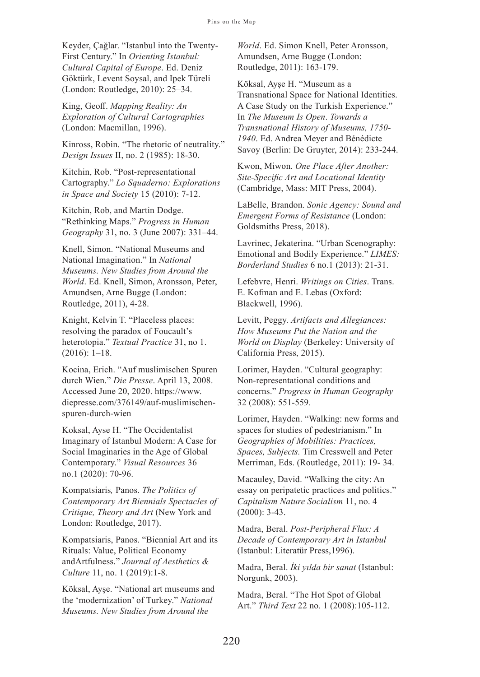Keyder, Çağlar. "Istanbul into the Twenty-First Century." In *Orienting Istanbul: Cultural Capital of Europe*. Ed. Deniz Göktürk, Levent Soysal, and Ipek Türeli (London: Routledge, 2010): 25–34.

King, Geoff. *Mapping Reality: An Exploration of Cultural Cartographies*  (London: Macmillan, 1996).

Kinross, Robin. "The rhetoric of neutrality." *Design Issues* II, no. 2 (1985): 18-30.

Kitchin, Rob. "Post-representational Cartography." *Lo Squaderno: Explorations in Space and Society* 15 (2010): 7-12.

Kitchin, Rob, and Martin Dodge. "Rethinking Maps." *Progress in Human Geography* 31, no. 3 (June 2007): 331–44.

Knell, Simon. "National Museums and National Imagination." In *National Museums. New Studies from Around the World*. Ed. Knell, Simon, Aronsson, Peter, Amundsen, Arne Bugge (London: Routledge, 2011), 4-28.

Knight, Kelvin T. "Placeless places: resolving the paradox of Foucault's heterotopia." *Textual Practice* 31, no 1. (2016): 1–18.

Kocina, Erich. "Auf muslimischen Spuren durch Wien." *Die Presse*. April 13, 2008. Accessed June 20, 2020. https://www. diepresse.com/376149/auf-muslimischenspuren-durch-wien

Koksal, Ayse H. "The Occidentalist Imaginary of Istanbul Modern: A Case for Social Imaginaries in the Age of Global Contemporary." *Visual Resources* 36 no.1 (2020): 70-96.

Kompatsiaris*,* Panos. *The Politics of Contemporary Art Biennials Spectacles of Critique, Theory and Art* (New York and London: Routledge, 2017).

Kompatsiaris, Panos. "Biennial Art and its Rituals: Value, Political Economy andArtfulness." *Journal of Aesthetics & Culture* 11, no. 1 (2019):1-8.

Köksal, Ayşe. "National art museums and the 'modernization' of Turkey." *National Museums. New Studies from Around the* 

*World*. Ed. Simon Knell, Peter Aronsson, Amundsen, Arne Bugge (London: Routledge, 2011): 163-179.

Köksal, Ayşe H. "Museum as a Transnational Space for National Identities. A Case Study on the Turkish Experience." In *The Museum Is Open*. *Towards a Transnational History of Museums, 1750- 1940*. Ed. Andrea Meyer and Bénédicte Savoy (Berlin: De Gruyter, 2014): 233-244.

Kwon, Miwon. *One Place After Another: Site-Specific Art and Locational Identity*  (Cambridge, Mass: MIT Press, 2004).

LaBelle, Brandon. *Sonic Agency: Sound and Emergent Forms of Resistance* (London: Goldsmiths Press, 2018).

Lavrinec, Jekaterina. "Urban Scenography: Emotional and Bodily Experience." *LIMES: Borderland Studies* 6 no.1 (2013): 21-31.

Lefebvre, Henri. *Writings on Cities*. Trans. E. Kofman and E. Lebas (Oxford: Blackwell, 1996).

Levitt, Peggy. *Artifacts and Allegiances: How Museums Put the Nation and the World on Display* (Berkeley: University of California Press, 2015).

Lorimer, Hayden. "Cultural geography: Non-representational conditions and concerns." *Progress in Human Geography* 32 (2008): 551-559.

Lorimer, Hayden. "Walking: new forms and spaces for studies of pedestrianism." In *Geographies of Mobilities: Practices, Spaces, Subjects.* Tim Cresswell and Peter Merriman, Eds. (Routledge, 2011): 19- 34.

Macauley, David. "Walking the city: An essay on peripatetic practices and politics." *Capitalism Nature Socialism* 11, no. 4 (2000): 3-43.

Madra, Beral. *Post-Peripheral Flux: A Decade of Contemporary Art in Istanbul* (Istanbul: Literatür Press,1996).

Madra, Beral. *İki yılda bir sanat* (Istanbul: Norgunk, 2003).

Madra, Beral. "The Hot Spot of Global Art." *Third Text* 22 no. 1 (2008):105-112.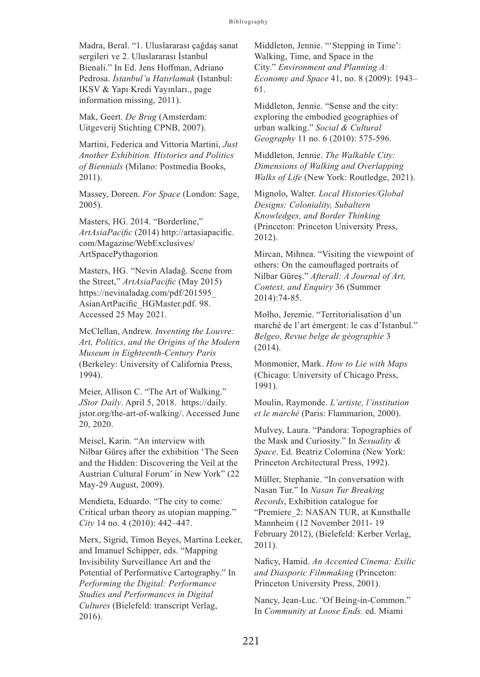Madra, Beral. "1. Uluslararası çağdaş sanat sergileri ve 2. Uluslararası İstanbul Bienali." In Ed. Jens Hoffman, Adriano Pedrosa. *İstanbul'u Hatırlamak* (Istanbul: IKSV & Yapı Kredi Yayınları., page information missing, 2011).

Mak, Geert. *De Brug* (Amsterdam: Uitgeverij Stichting CPNB, 2007).

Martini, Federica and Vittoria Martini, *Just Another Exhibition. Histories and Politics of Biennials* (Milano: Postmedia Books, 2011).

Massey, Doreen. *For Space* (London: Sage, 2005).

Masters, HG. 2014. "Borderline," *ArtAsiaPacific* (2014) http://artasiapacific. com/Magazine/WebExclusives/ ArtSpacePythagorion

Masters, HG. "Nevin Aladağ. Scene from the Street," *ArtAsiaPacific* (May 2015) https://nevinaladag.com/pdf/201595\_ AsianArtPacific\_HGMaster.pdf. 98. Accessed 25 May 2021.

McClellan, Andrew. *Inventing the Louvre: Art, Politics, and the Origins of the Modern Museum in Eighteenth-Century Paris* (Berkeley: University of California Press, 1994).

Meier, Allison C. "The Art of Walking." *JStor Daily*. April 5, 2018. https://daily. jstor.org/the-art-of-walking/. Accessed June 20, 2020.

Meisel, Karin. "An interview with Nilbar Güreş after the exhibition 'The Seen and the Hidden: Discovering the Veil at the Austrian Cultural Forum' in New York" (22 May-29 August, 2009).

Mendieta, Eduardo. "The city to come: Critical urban theory as utopian mapping." *City* 14 no. 4 (2010): 442–447.

Merx, Sigrid, Timon Beyes, Martina Leeker, and Imanuel Schipper, eds. "Mapping Invisibility Surveillance Art and the Potential of Performative Cartography." In *Performing the Digital: Performance Studies and Performances in Digital Cultures* (Bielefeld: transcript Verlag, 2016).

Middleton, Jennie. "'Stepping in Time': Walking, Time, and Space in the City." *Environment and Planning A: Economy and Space* 41, no. 8 (2009): 1943– 61.

Middleton, Jennie. "Sense and the city: exploring the embodied geographies of urban walking." *Social & Cultural Geography* 11 no. 6 (2010): 575-596.

Middleton, Jennie. *The Walkable City: Dimensions of Walking and Overlapping Walks of Life* (New York: Routledge, 2021).

Mignolo, Walter. *Local Histories/Global Designs: Coloniality, Subaltern Knowledges, and Border Thinking* (Princeton: Princeton University Press, 2012).

Mircan, Mihnea. "Visiting the viewpoint of others: On the camouflaged portraits of Nilbar Güreş." *Afterall: A Journal of Art, Context, and Enquiry* 36 (Summer 2014):74-85.

Molho, Jeremie. "Territorialisation d'un marché de l'art émergent: le cas d'Istanbul." *Belgeo, Revue belge de géographie* 3 (2014).

Monmonier, Mark. *How to Lie with Maps* (Chicago: University of Chicago Press, 1991).

Moulin, Raymonde. *L'artiste, l'institution et le marché* (Paris: Flammarion, 2000).

Mulvey, Laura. "Pandora: Topographies of the Mask and Curiosity." In *Sexuality & Space*. Ed. Beatriz Colomina (New York: Princeton Architectural Press, 1992).

Müller, Stephanie. "In conversation with Nasan Tur." In *Nasan Tur Breaking Records*, Exhibition catalogue for "Premiere 2: NASAN TUR, at Kunsthalle Mannheim (12 November 2011- 19 February 2012), (Bielefeld: Kerber Verlag, 2011).

Naficy, Hamid. *An Accented Cinema: Exilic and Diasporic Filmmaking* (Princeton: Princeton University Press, 2001).

Nancy, Jean-Luc*."*Of Being-in-Common." In *Community at Loose Ends.* ed. Miami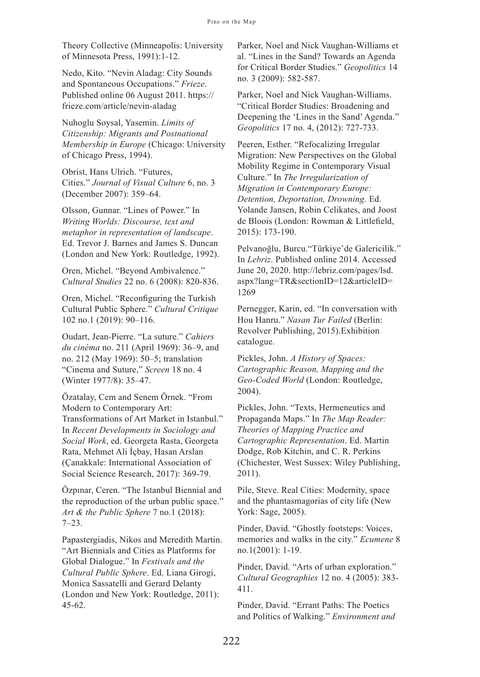Theory Collective (Minneapolis: University of Minnesota Press, 1991):1-12.

Nedo, Kito. "Nevin Aladag: City Sounds and Spontaneous Occupations." *Frieze*. Published online 06 August 2011. https:// frieze.com/article/nevin-aladag

Nuhoglu Soysal, Yasemin. *Limits of Citizenship: Migrants and Postnational Membership in Europe* (Chicago: University of Chicago Press, 1994).

Obrist, Hans Ulrich. "Futures, Cities." *Journal of Visual Culture* 6, no. 3 (December 2007): 359–64.

Olsson, Gunnar. "Lines of Power." In *Writing Worlds: Discourse, text and metaphor in representation of landscape*. Ed. Trevor J. Barnes and James S. Duncan (London and New York: Routledge, 1992).

Oren, Michel. "Beyond Ambivalence." *Cultural Studies* 22 no. 6 (2008): 820-836.

Oren, Michel. "Reconfiguring the Turkish Cultural Public Sphere." *Cultural Critique*  102 no.1 (2019): 90–116.

Oudart, Jean-Pierre. "La suture." *Cahiers du cinéma* no. 211 (April 1969): 36–9, and no. 212 (May 1969): 50–5; translation "Cinema and Suture," *Screen* 18 no. 4 (Winter 1977/8): 35–47.

Özatalay, Cem and Senem Örnek. "From Modern to Contemporary Art: Transformations of Art Market in Istanbul." In *Recent Developments in Sociology and Social Work*, ed. Georgeta Rasta, Georgeta Rata, Mehmet Ali İçbay, Hasan Arslan (Çanakkale: International Association of Social Science Research, 2017): 369-79.

Özpınar, Ceren. "The Istanbul Biennial and the reproduction of the urban public space." *Art & the Public Sphere* 7 no.1 (2018): 7–23.

Papastergiadis, Nikos and Meredith Martin. "Art Biennials and Cities as Platforms for Global Dialogue." In *Festivals and the Cultural Public Sphere*. Ed. Liana Girogi, Monica Sassatelli and Gerard Delanty (London and New York: Routledge, 2011): 45-62.

Parker, Noel and Nick Vaughan-Williams et al. "Lines in the Sand? Towards an Agenda for Critical Border Studies." *Geopolitics* 14 no. 3 (2009): 582-587.

Parker, Noel and Nick Vaughan-Williams. "Critical Border Studies: Broadening and Deepening the 'Lines in the Sand' Agenda." *Geopolitics* 17 no. 4, (2012): 727-733.

Peeren, Esther. "Refocalizing Irregular Migration: New Perspectives on the Global Mobility Regime in Contemporary Visual Culture." In *The Irregularization of Migration in Contemporary Europe: Detention, Deportation, Drowning*. Ed. Yolande Jansen, Robin Celikates, and Joost de Bloois (London: Rowman & Littlefield, 2015): 173-190.

Pelvanoğlu, Burcu."Türkiye'de Galericilik." In *Lebriz*. Published online 2014. Accessed June 20, 2020. http://lebriz.com/pages/lsd. aspx?lang=TR&sectionID=12&articleID= 1269

Pernegger, Karin, ed. "In conversation with Hou Hanru." *Nasan Tur Failed* (Berlin: Revolver Publishing, 2015).Exhibition catalogue.

Pickles, John. *A History of Spaces: Cartographic Reason, Mapping and the Geo-Coded World* (London: Routledge, 2004).

Pickles, John. "Texts, Hermeneutics and Propaganda Maps." In *The Map Reader: Theories of Mapping Practice and Cartographic Representation*. Ed. Martin Dodge, Rob Kitchin, and C. R. Perkins (Chichester, West Sussex: Wiley Publishing, 2011).

Pile, Steve. Real Cities: Modernity, space and the phantasmagorias of city life (New York: Sage, 2005).

Pinder, David. "Ghostly footsteps: Voices, memories and walks in the city." *Ecumene* 8 no.1(2001): 1-19.

Pinder, David. "Arts of urban exploration." *Cultural Geographies* 12 no. 4 (2005): 383- 411.

Pinder, David. "Errant Paths: The Poetics and Politics of Walking." *Environment and*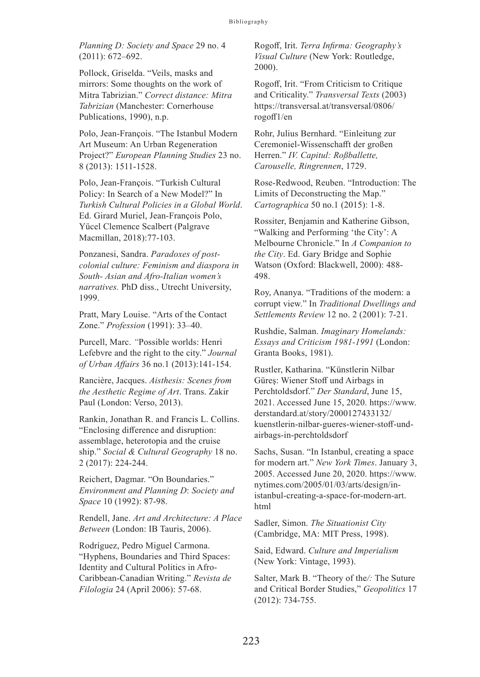*Planning D: Society and Space* 29 no. 4 (2011): 672–692.

Pollock, Griselda. "Veils, masks and mirrors: Some thoughts on the work of Mitra Tabrizian." *Correct distance: Mitra Tabrizian* (Manchester: Cornerhouse Publications, 1990), n.p.

Polo, Jean-François. "The Istanbul Modern Art Museum: An Urban Regeneration Project?" *European Planning Studies* 23 no. 8 (2013): 1511-1528.

Polo, Jean-François. "Turkish Cultural Policy: In Search of a New Model?" In *Turkish Cultural Policies in a Global World*. Ed. Girard Muriel, Jean-François Polo, Yücel Clemence Scalbert (Palgrave Macmillan, 2018):77-103.

Ponzanesi, Sandra. *Paradoxes of postcolonial culture: Feminism and diaspora in South- Asian and Afro-Italian women's narratives.* PhD diss., Utrecht University, 1999.

Pratt, Mary Louise. "Arts of the Contact Zone." *Profession* (1991): 33–40.

Purcell, Marc. *"*Possible worlds: Henri Lefebvre and the right to the city." *Journal of Urban Affairs* 36 no.1 (2013):141-154.

Rancière, Jacques. *Aisthesis: Scenes from the Aesthetic Regime of Art*. Trans. Zakir Paul (London: Verso, 2013).

Rankin, Jonathan R. and Francis L. Collins. "Enclosing difference and disruption: assemblage, heterotopia and the cruise ship." *Social & Cultural Geography* 18 no. 2 (2017): 224-244.

Reichert, Dagmar. "On Boundaries." *Environment and Planning D*: *Society and Space* 10 (1992): 87-98.

Rendell, Jane. *Art and Architecture: A Place Between* (London: IB Tauris, 2006).

Rodríguez, Pedro Miguel Carmona. "Hyphens, Boundaries and Third Spaces: Identity and Cultural Politics in Afro-Caribbean-Canadian Writing." *Revista de Filologia* 24 (April 2006): 57-68.

Rogoff, Irit. *Terra Infirma: Geography's Visual Culture* (New York: Routledge, 2000).

Rogoff, Irit. "From Criticism to Critique and Criticality." *Transversal Texts* (2003) https://transversal.at/transversal/0806/ rogoff1/en

Rohr, Julius Bernhard. "Einleitung zur Ceremoniel-Wissenschafft der großen Herren." *IV. Capitul: Roßballette, Carouselle, Ringrennen*, 1729.

Rose-Redwood, Reuben. "Introduction: The Limits of Deconstructing the Map." *Cartographica* 50 no.1 (2015): 1-8.

Rossiter, Benjamin and Katherine Gibson, "Walking and Performing 'the City': A Melbourne Chronicle." In *A Companion to the City*. Ed. Gary Bridge and Sophie Watson (Oxford: Blackwell, 2000): 488- 498.

Roy, Ananya. "Traditions of the modern: a corrupt view." In *Traditional Dwellings and Settlements Review* 12 no. 2 (2001): 7-21.

Rushdie, Salman. *Imaginary Homelands: Essays and Criticism 1981-1991* (London: Granta Books, 1981).

Rustler, Katharina. "Künstlerin Nilbar Güreş: Wiener Stoff und Airbags in Perchtoldsdorf." *Der Standard*, June 15, 2021. Accessed June 15, 2020. https://www. derstandard.at/story/2000127433132/ kuenstlerin-nilbar-gueres-wiener-stoff-undairbags-in-perchtoldsdorf

Sachs, Susan. "In Istanbul, creating a space for modern art." *New York Times*. January 3, 2005. Accessed June 20, 2020. https://www. nytimes.com/2005/01/03/arts/design/inistanbul-creating-a-space-for-modern-art. html

Sadler, Simon. *The Situationist City*  (Cambridge, MA: MIT Press, 1998).

Said, Edward. *Culture and Imperialism* (New York: Vintage, 1993).

Salter, Mark B. "Theory of the*/:* The Suture and Critical Border Studies," *Geopolitics* 17 (2012): 734-755.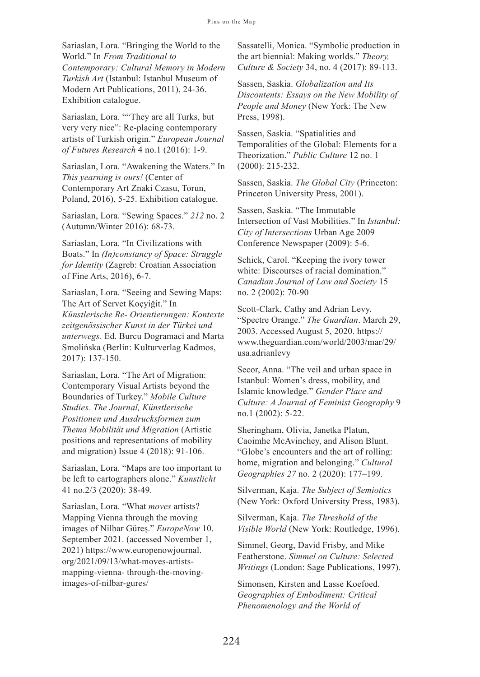Sariaslan, Lora. "Bringing the World to the World." In *From Traditional to Contemporary: Cultural Memory in Modern Turkish Art* (Istanbul: Istanbul Museum of Modern Art Publications, 2011), 24-36. Exhibition catalogue.

Sariaslan, Lora. ""They are all Turks, but very very nice": Re-placing contemporary artists of Turkish origin." *European Journal of Futures Research* 4 no.1 (2016): 1-9.

Sariaslan, Lora. "Awakening the Waters." In *This yearning is ours!* (Center of Contemporary Art Znaki Czasu, Torun, Poland, 2016), 5-25. Exhibition catalogue.

Sariaslan, Lora. "Sewing Spaces." *212* no. 2 (Autumn/Winter 2016): 68-73.

Sariaslan, Lora. "In Civilizations with Boats." In *(In)constancy of Space: Struggle for Identity* (Zagreb: Croatian Association of Fine Arts, 2016), 6-7.

Sariaslan, Lora. "Seeing and Sewing Maps: The Art of Servet Koçyiğit." In *Künstlerische Re- Orientierungen: Kontexte zeitgenössischer Kunst in der Türkei und unterwegs*. Ed. Burcu Dogramaci and Marta Smolińska (Berlin: Kulturverlag Kadmos, 2017): 137-150.

Sariaslan, Lora. "The Art of Migration: Contemporary Visual Artists beyond the Boundaries of Turkey." *Mobile Culture Studies. The Journal, Künstlerische Positionen und Ausdrucksformen zum Thema Mobilität und Migration* (Artistic positions and representations of mobility and migration) Issue 4 (2018): 91-106.

Sariaslan, Lora. "Maps are too important to be left to cartographers alone." *Kunstlicht* 41 no.2/3 (2020): 38-49.

Sariaslan, Lora. "What *moves* artists? Mapping Vienna through the moving images of Nilbar Güreş." *EuropeNow* 10. September 2021. (accessed November 1, 2021) https://www.europenowjournal. org/2021/09/13/what-moves-artistsmapping-vienna- through-the-movingimages-of-nilbar-gures/

Sassatelli, Monica. "Symbolic production in the art biennial: Making worlds." *Theory, Culture & Society* 34, no. 4 (2017): 89-113.

Sassen, Saskia. *Globalization and Its Discontents: Essays on the New Mobility of People and Money* (New York: The New Press, 1998).

Sassen, Saskia. "Spatialities and Temporalities of the Global: Elements for a Theorization." *Public Culture* 12 no. 1 (2000): 215-232.

Sassen, Saskia. *The Global City* (Princeton: Princeton University Press, 2001).

Sassen, Saskia. "The Immutable Intersection of Vast Mobilities." In *Istanbul: City of Intersections* Urban Age 2009 Conference Newspaper (2009): 5-6.

Schick, Carol. "Keeping the ivory tower white: Discourses of racial domination." *Canadian Journal of Law and Society* 15 no. 2 (2002): 70-90

Scott-Clark, Cathy and Adrian Levy. "Spectre Orange." *The Guardian*. March 29, 2003. Accessed August 5, 2020. https:// www.theguardian.com/world/2003/mar/29/ usa.adrianlevy

Secor, Anna. "The veil and urban space in Istanbul: Women's dress, mobility, and Islamic knowledge." *Gender Place and Culture: A Journal of Feminist Geography* 9 no.1 (2002): 5-22.

Sheringham, Olivia, Janetka Platun, Caoimhe McAvinchey, and Alison Blunt. "Globe's encounters and the art of rolling: home, migration and belonging." *Cultural Geographies 27* no. 2 (2020): 177–199.

Silverman, Kaja. *The Subject of Semiotics* (New York: Oxford University Press, 1983).

Silverman, Kaja. *The Threshold of the Visible World* (New York: Routledge, 1996).

Simmel, Georg, David Frisby, and Mike Featherstone. *Simmel on Culture: Selected Writings* (London: Sage Publications, 1997).

Simonsen, Kirsten and Lasse Koefoed. *Geographies of Embodiment: Critical Phenomenology and the World of*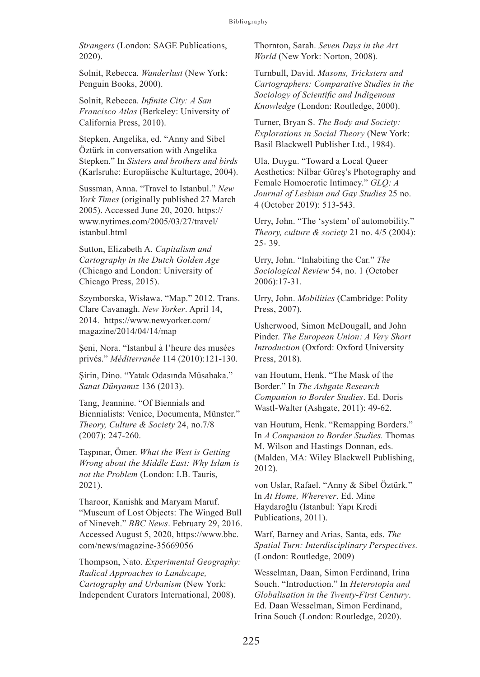*Strangers* (London: SAGE Publications, 2020).

Solnit, Rebecca. *Wanderlust* (New York: Penguin Books, 2000).

Solnit, Rebecca. *Infinite City: A San Francisco Atlas* (Berkeley: University of California Press, 2010).

Stepken, Angelika, ed. "Anny and Sibel Öztürk in conversation with Angelika Stepken." In *Sisters and brothers and birds* (Karlsruhe: Europäische Kulturtage, 2004).

Sussman, Anna. "Travel to Istanbul." *New York Times* (originally published 27 March 2005). Accessed June 20, 2020. https:// www.nytimes.com/2005/03/27/travel/ istanbul.html

Sutton, Elizabeth A. *Capitalism and Cartography in the Dutch Golden Age* (Chicago and London: University of Chicago Press, 2015).

Szymborska, Wisława. "Map." 2012. Trans. Clare Cavanagh. *New Yorker*. April 14, 2014. https://www.newyorker.com/ magazine/2014/04/14/map

Şeni, Nora. "Istanbul à l'heure des musées privés." *Méditerranée* 114 (2010):121-130.

Şirin, Dino. "Yatak Odasında Müsabaka." *Sanat Dünyamız* 136 (2013).

Tang, Jeannine. "Of Biennials and Biennialists: Venice, Documenta, Münster." *Theory, Culture & Society* 24, no.7/8 (2007): 247-260.

Taşpınar, Ömer. *What the West is Getting Wrong about the Middle East: Why Islam is not the Problem* (London: I.B. Tauris, 2021).

Tharoor, Kanishk and Maryam Maruf. "Museum of Lost Objects: The Winged Bull of Nineveh." *BBC News*. February 29, 2016. Accessed August 5, 2020, https://www.bbc. com/news/magazine-35669056

Thompson, Nato. *Experimental Geography: Radical Approaches to Landscape, Cartography and Urbanism* (New York: Independent Curators International, 2008).

Thornton, Sarah. *Seven Days in the Art World* (New York: Norton, 2008).

Turnbull, David. *Masons, Tricksters and Cartographers: Comparative Studies in the Sociology of Scientific and Indigenous Knowledge* (London: Routledge, 2000).

Turner, Bryan S. *The Body and Society: Explorations in Social Theory* (New York: Basil Blackwell Publisher Ltd., 1984).

Ula, Duygu. "Toward a Local Queer Aesthetics: Nilbar Güreş's Photography and Female Homoerotic Intimacy." *GLQ: A Journal of Lesbian and Gay Studies* 25 no. 4 (October 2019): 513-543.

Urry, John. "The 'system' of automobility." *Theory, culture & society* 21 no. 4/5 (2004): 25- 39.

Urry, John. "Inhabiting the Car." *The Sociological Review* 54, no. 1 (October 2006):17-31.

Urry, John. *Mobilities* (Cambridge: Polity Press, 2007).

Usherwood, Simon McDougall, and John Pinder. *The European Union: A Very Short Introduction* (Oxford: Oxford University Press, 2018).

van Houtum, Henk. "The Mask of the Border." In *The Ashgate Research Companion to Border Studies*. Ed. Doris Wastl-Walter (Ashgate, 2011): 49-62.

van Houtum, Henk. "Remapping Borders." In *A Companion to Border Studies.* Thomas M. Wilson and Hastings Donnan, eds. (Malden, MA: Wiley Blackwell Publishing, 2012).

von Uslar, Rafael. "Anny & Sibel Öztürk." In *At Home, Wherever*. Ed. Mine Haydaroğlu (Istanbul: Yapı Kredi Publications, 2011).

Warf, Barney and Arias, Santa, eds. *The Spatial Turn: Interdisciplinary Perspectives.* (London: Routledge, 2009)

Wesselman, Daan, Simon Ferdinand, Irina Souch. "Introduction." In *Heterotopia and Globalisation in the Twenty-First Century*. Ed. Daan Wesselman, Simon Ferdinand, Irina Souch (London: Routledge, 2020).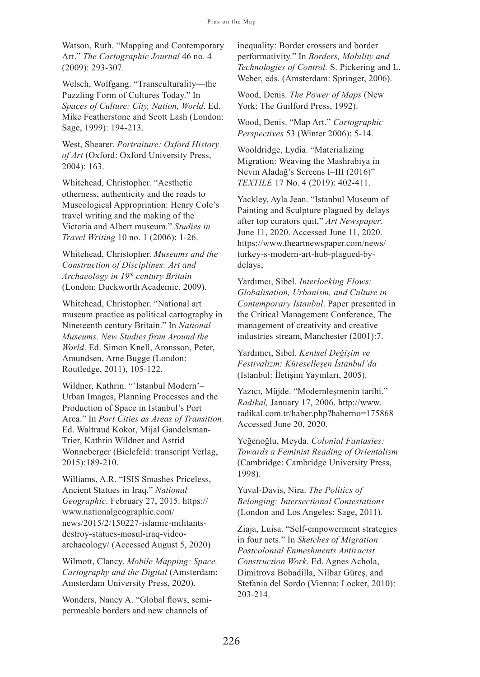Watson, Ruth. "Mapping and Contemporary Art." *The Cartographic Journal* 46 no. 4 (2009): 293-307.

Welsch, Wolfgang. "Transculturality—the Puzzling Form of Cultures Today." In *Spaces of Culture: City, Nation, World*. Ed. Mike Featherstone and Scott Lash (London: Sage, 1999): 194-213.

West, Shearer. *Portraiture: Oxford History of Art* (Oxford: Oxford University Press, 2004): 163.

Whitehead, Christopher. "Aesthetic otherness, authenticity and the roads to Museological Appropriation: Henry Cole's travel writing and the making of the Victoria and Albert museum." *Studies in Travel Writing* 10 no. 1 (2006): 1-26.

Whitehead, Christopher. *Museums and the Construction of Disciplines: Art and Archaeology in 19th century Britain* (London: Duckworth Academic, 2009).

Whitehead, Christopher. "National art museum practice as political cartography in Nineteenth century Britain." In *National Museums. New Studies from Around the World*. Ed. Simon Knell, Aronsson, Peter, Amundsen, Arne Bugge (London: Routledge, 2011), 105-122.

Wildner, Kathrin. "'Istanbul Modern'– Urban Images, Planning Processes and the Production of Space in Istanbul's Port Area." In *Port Cities as Areas of Transition*. Ed. Waltraud Kokot, Mijal Gandelsman-Trier, Kathrin Wildner and Astrid Wonneberger (Bielefeld: transcript Verlag, 2015):189-210.

Williams, A.R. "ISIS Smashes Priceless, Ancient Statues in Iraq." *National Geographic*. February 27, 2015. https:// www.nationalgeographic.com/ news/2015/2/150227-islamic-militantsdestroy-statues-mosul-iraq-videoarchaeology/ (Accessed August 5, 2020)

Wilmott, Clancy. *Mobile Mapping: Space, Cartography and the Digital* (Amsterdam: Amsterdam University Press, 2020).

Wonders, Nancy A. "Global flows, semipermeable borders and new channels of

inequality: Border crossers and border performativity." In *Borders, Mobility and Technologies of Control.* S. Pickering and L. Weber, eds. (Amsterdam: Springer, 2006).

Wood, Denis. *The Power of Maps* (New York: The Guilford Press, 1992).

Wood, Denis. "Map Art." *Cartographic Perspectives* 53 (Winter 2006): 5-14.

Wooldridge, Lydia. "Materializing Migration: Weaving the Mashrabiya in Nevin Aladağ's Screens I–III (2016)" *TEXTILE* 17 No. 4 (2019): 402-411.

Yackley, Ayla Jean. "Istanbul Museum of Painting and Sculpture plagued by delays after top curators quit," *Art Newspaper*. June 11, 2020. Accessed June 11, 2020. https://www.theartnewspaper.com/news/ turkey-s-modern-art-hub-plagued-bydelays;

Yardımcı, Sibel. *Interlocking Flows: Globalisation, Urbanism, and Culture in Contemporary Istanbul*. Paper presented in the Critical Management Conference, The management of creativity and creative industries stream, Manchester (2001):7.

Yardımcı, Sibel. *Kentsel Değişim ve Festivalizm: Küreselleşen İstanbul'da*  (Istanbul: İletişim Yayınları, 2005).

Yazıcı, Müjde. "Modernleşmenin tarihi." *Radikal,* January 17, 2006. http://www. radikal.com.tr/haber.php?haberno=175868 Accessed June 20, 2020.

Yeğenoğlu, Meyda. *Colonial Fantasies: Towards a Feminist Reading of Orientalism*  (Cambridge: Cambridge University Press, 1998).

Yuval-Davis, Nira. *The Politics of Belonging: Intersectional Contestations* (London and Los Angeles: Sage, 2011).

Ziaja, Luisa. "Self-empowerment strategies in four acts." In *Sketches of Migration Postcolonial Enmeshments Antiracist Construction Work*. Ed. Agnes Achola, Dimitrova Bobadilla, Nilbar Güreş, and Stefania del Sordo (Vienna: Locker, 2010): 203-214.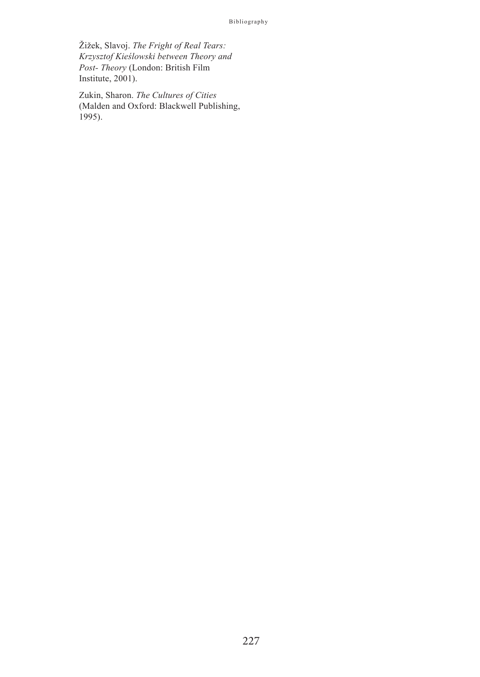Žižek, Slavoj. *The Fright of Real Tears: Krzysztof Kieślowski between Theory and Post- Theory* (London: British Film Institute, 2001).

Zukin, Sharon. *The Cultures of Cities* (Malden and Oxford: Blackwell Publishing, 1995).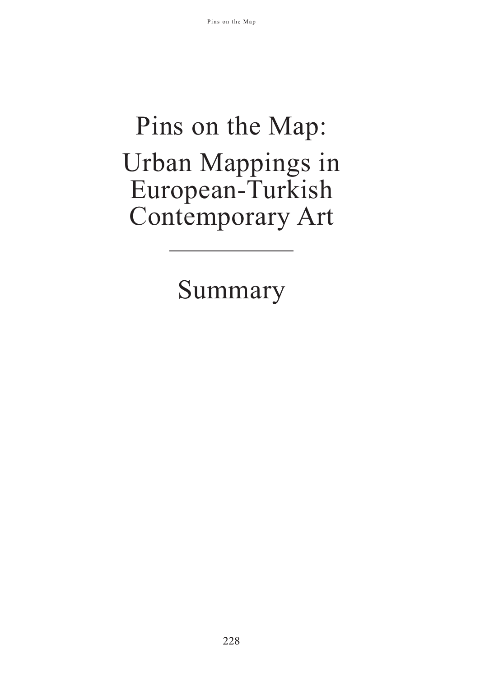# Pins on the Map: Urban Mappings in European-Turkish Contemporary Art

Summary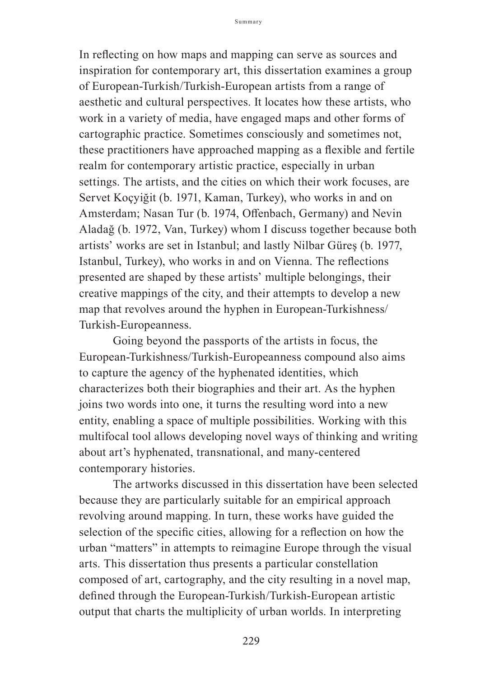In reflecting on how maps and mapping can serve as sources and inspiration for contemporary art, this dissertation examines a group of European-Turkish/Turkish-European artists from a range of aesthetic and cultural perspectives. It locates how these artists, who work in a variety of media, have engaged maps and other forms of cartographic practice. Sometimes consciously and sometimes not, these practitioners have approached mapping as a flexible and fertile realm for contemporary artistic practice, especially in urban settings. The artists, and the cities on which their work focuses, are Servet Koçyiğit (b. 1971, Kaman, Turkey), who works in and on Amsterdam; Nasan Tur (b. 1974, Offenbach, Germany) and Nevin Aladağ (b. 1972, Van, Turkey) whom I discuss together because both artists' works are set in Istanbul; and lastly Nilbar Güreş (b. 1977, Istanbul, Turkey), who works in and on Vienna. The reflections presented are shaped by these artists' multiple belongings, their creative mappings of the city, and their attempts to develop a new map that revolves around the hyphen in European-Turkishness/ Turkish-Europeanness.

Going beyond the passports of the artists in focus, the European-Turkishness/Turkish-Europeanness compound also aims to capture the agency of the hyphenated identities, which characterizes both their biographies and their art. As the hyphen joins two words into one, it turns the resulting word into a new entity, enabling a space of multiple possibilities. Working with this multifocal tool allows developing novel ways of thinking and writing about art's hyphenated, transnational, and many-centered contemporary histories.

The artworks discussed in this dissertation have been selected because they are particularly suitable for an empirical approach revolving around mapping. In turn, these works have guided the selection of the specific cities, allowing for a reflection on how the urban "matters" in attempts to reimagine Europe through the visual arts. This dissertation thus presents a particular constellation composed of art, cartography, and the city resulting in a novel map, defined through the European-Turkish/Turkish-European artistic output that charts the multiplicity of urban worlds. In interpreting

229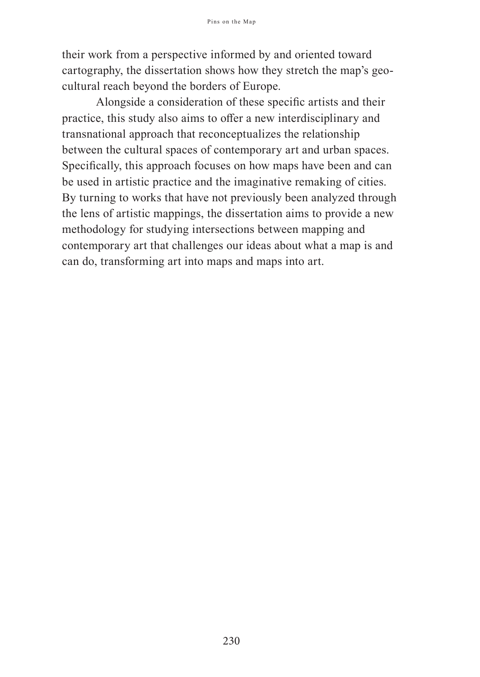their work from a perspective informed by and oriented toward cartography, the dissertation shows how they stretch the map's geocultural reach beyond the borders of Europe.

Alongside a consideration of these specific artists and their practice, this study also aims to offer a new interdisciplinary and transnational approach that reconceptualizes the relationship between the cultural spaces of contemporary art and urban spaces. Specifically, this approach focuses on how maps have been and can be used in artistic practice and the imaginative remaking of cities. By turning to works that have not previously been analyzed through the lens of artistic mappings, the dissertation aims to provide a new methodology for studying intersections between mapping and contemporary art that challenges our ideas about what a map is and can do, transforming art into maps and maps into art.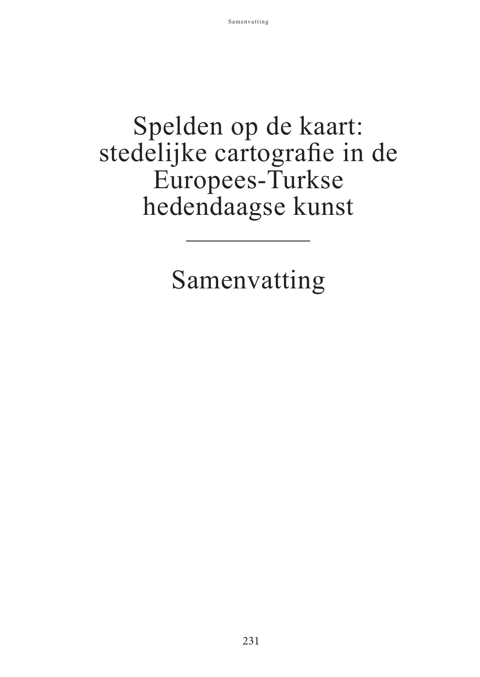# Spelden op de kaart: stedelijke cartografie in de Europees-Turkse hedendaagse kunst

Samenvatting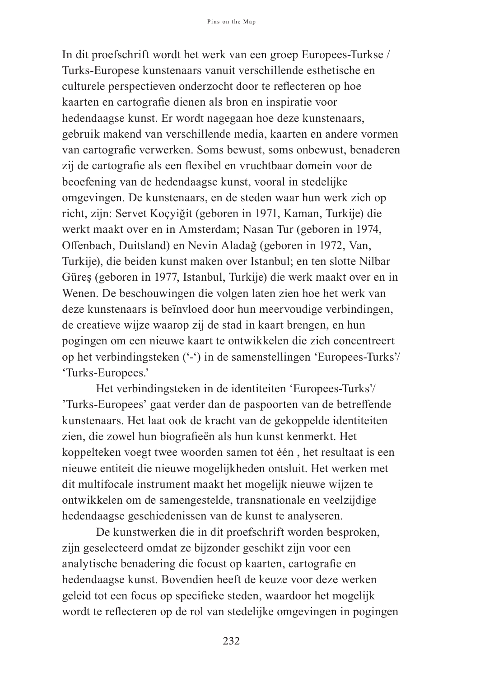In dit proefschrift wordt het werk van een groep Europees-Turkse / Turks-Europese kunstenaars vanuit verschillende esthetische en culturele perspectieven onderzocht door te reflecteren op hoe kaarten en cartografie dienen als bron en inspiratie voor hedendaagse kunst. Er wordt nagegaan hoe deze kunstenaars, gebruik makend van verschillende media, kaarten en andere vormen van cartografie verwerken. Soms bewust, soms onbewust, benaderen zij de cartografie als een flexibel en vruchtbaar domein voor de beoefening van de hedendaagse kunst, vooral in stedelijke omgevingen. De kunstenaars, en de steden waar hun werk zich op richt, zijn: Servet Koçyiğit (geboren in 1971, Kaman, Turkije) die werkt maakt over en in Amsterdam; Nasan Tur (geboren in 1974, Offenbach, Duitsland) en Nevin Aladağ (geboren in 1972, Van, Turkije), die beiden kunst maken over Istanbul; en ten slotte Nilbar Güreş (geboren in 1977, Istanbul, Turkije) die werk maakt over en in Wenen. De beschouwingen die volgen laten zien hoe het werk van deze kunstenaars is beïnvloed door hun meervoudige verbindingen, de creatieve wijze waarop zij de stad in kaart brengen, en hun pogingen om een nieuwe kaart te ontwikkelen die zich concentreert op het verbindingsteken ('-') in de samenstellingen 'Europees-Turks'/ 'Turks-Europees.'

Het verbindingsteken in de identiteiten 'Europees-Turks'/ 'Turks-Europees' gaat verder dan de paspoorten van de betreffende kunstenaars. Het laat ook de kracht van de gekoppelde identiteiten zien, die zowel hun biografieën als hun kunst kenmerkt. Het koppelteken voegt twee woorden samen tot één , het resultaat is een nieuwe entiteit die nieuwe mogelijkheden ontsluit. Het werken met dit multifocale instrument maakt het mogelijk nieuwe wijzen te ontwikkelen om de samengestelde, transnationale en veelzijdige hedendaagse geschiedenissen van de kunst te analyseren.

De kunstwerken die in dit proefschrift worden besproken, zijn geselecteerd omdat ze bijzonder geschikt zijn voor een analytische benadering die focust op kaarten, cartografie en hedendaagse kunst. Bovendien heeft de keuze voor deze werken geleid tot een focus op specifieke steden, waardoor het mogelijk wordt te reflecteren op de rol van stedelijke omgevingen in pogingen